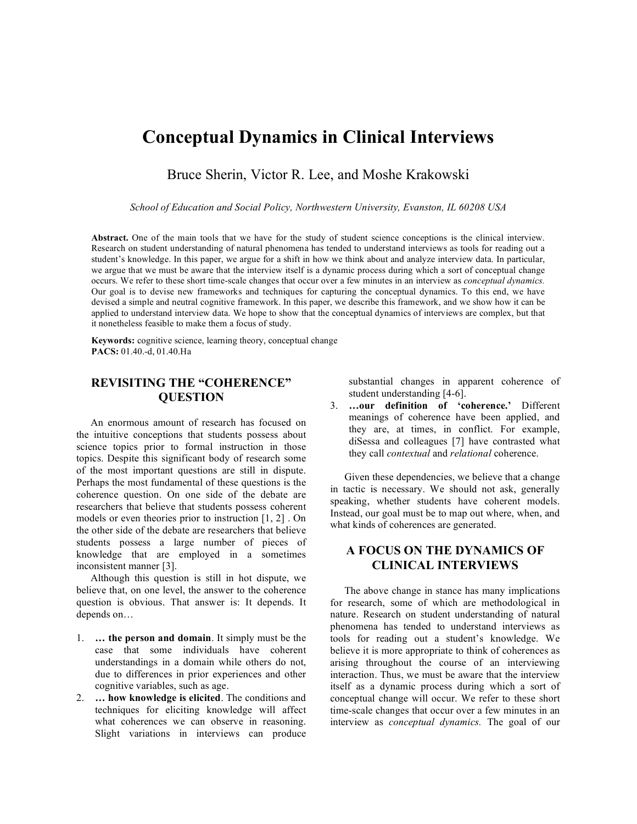# **Conceptual Dynamics in Clinical Interviews**

Bruce Sherin, Victor R. Lee, and Moshe Krakowski

*School of Education and Social Policy, Northwestern University, Evanston, IL 60208 USA*

**Abstract.** One of the main tools that we have for the study of student science conceptions is the clinical interview. Research on student understanding of natural phenomena has tended to understand interviews as tools for reading out a student's knowledge. In this paper, we argue for a shift in how we think about and analyze interview data. In particular, we argue that we must be aware that the interview itself is a dynamic process during which a sort of conceptual change occurs. We refer to these short time-scale changes that occur over a few minutes in an interview as *conceptual dynamics.* Our goal is to devise new frameworks and techniques for capturing the conceptual dynamics. To this end, we have devised a simple and neutral cognitive framework. In this paper, we describe this framework, and we show how it can be applied to understand interview data. We hope to show that the conceptual dynamics of interviews are complex, but that it nonetheless feasible to make them a focus of study.

**Keywords:** cognitive science, learning theory, conceptual change **PACS:** 01.40.-d, 01.40.Ha

## **REVISITING THE "COHERENCE" QUESTION**

An enormous amount of research has focused on the intuitive conceptions that students possess about science topics prior to formal instruction in those topics. Despite this significant body of research some of the most important questions are still in dispute. Perhaps the most fundamental of these questions is the coherence question. On one side of the debate are researchers that believe that students possess coherent models or even theories prior to instruction [1, 2] . On the other side of the debate are researchers that believe students possess a large number of pieces of knowledge that are employed in a sometimes inconsistent manner [3].

Although this question is still in hot dispute, we believe that, on one level, the answer to the coherence question is obvious. That answer is: It depends. It depends on…

- 1. **… the person and domain**. It simply must be the case that some individuals have coherent understandings in a domain while others do not, due to differences in prior experiences and other cognitive variables, such as age.
- 2. **… how knowledge is elicited**. The conditions and techniques for eliciting knowledge will affect what coherences we can observe in reasoning. Slight variations in interviews can produce

substantial changes in apparent coherence of student understanding [4-6].

3. **…our definition of 'coherence.'** Different meanings of coherence have been applied, and they are, at times, in conflict. For example, diSessa and colleagues [7] have contrasted what they call *contextual* and *relational* coherence.

Given these dependencies, we believe that a change in tactic is necessary. We should not ask, generally speaking, whether students have coherent models. Instead, our goal must be to map out where, when, and what kinds of coherences are generated.

## **A FOCUS ON THE DYNAMICS OF CLINICAL INTERVIEWS**

The above change in stance has many implications for research, some of which are methodological in nature. Research on student understanding of natural phenomena has tended to understand interviews as tools for reading out a student's knowledge. We believe it is more appropriate to think of coherences as arising throughout the course of an interviewing interaction. Thus, we must be aware that the interview itself as a dynamic process during which a sort of conceptual change will occur. We refer to these short time-scale changes that occur over a few minutes in an interview as *conceptual dynamics.* The goal of our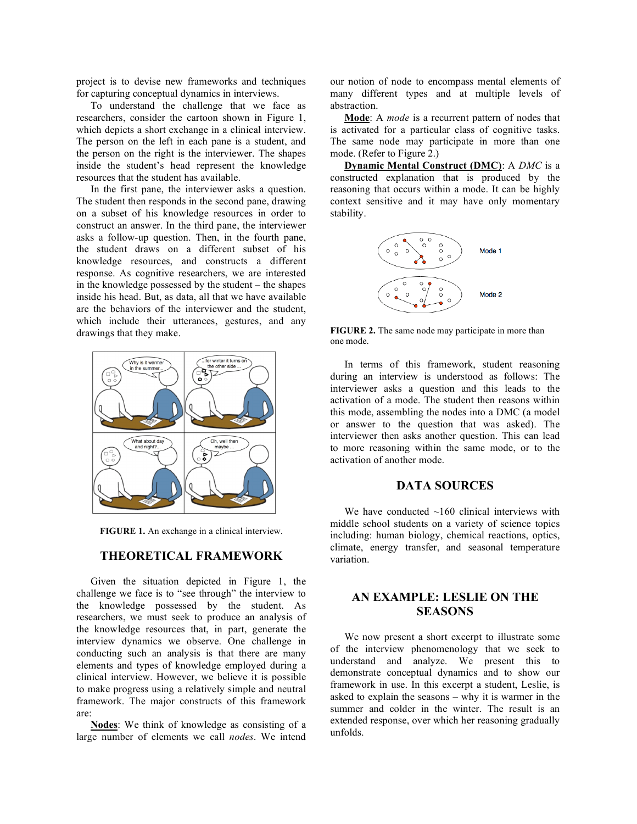project is to devise new frameworks and techniques for capturing conceptual dynamics in interviews.

To understand the challenge that we face as researchers, consider the cartoon shown in Figure 1, which depicts a short exchange in a clinical interview. The person on the left in each pane is a student, and the person on the right is the interviewer. The shapes inside the student's head represent the knowledge resources that the student has available.

In the first pane, the interviewer asks a question. The student then responds in the second pane, drawing on a subset of his knowledge resources in order to construct an answer. In the third pane, the interviewer asks a follow-up question. Then, in the fourth pane, the student draws on a different subset of his knowledge resources, and constructs a different response. As cognitive researchers, we are interested in the knowledge possessed by the student – the shapes inside his head. But, as data, all that we have available are the behaviors of the interviewer and the student, which include their utterances, gestures, and any drawings that they make.



**FIGURE 1.** An exchange in a clinical interview.

### **THEORETICAL FRAMEWORK**

Given the situation depicted in Figure 1, the challenge we face is to "see through" the interview to the knowledge possessed by the student. As researchers, we must seek to produce an analysis of the knowledge resources that, in part, generate the interview dynamics we observe. One challenge in conducting such an analysis is that there are many elements and types of knowledge employed during a clinical interview. However, we believe it is possible to make progress using a relatively simple and neutral framework. The major constructs of this framework are:

**Nodes**: We think of knowledge as consisting of a large number of elements we call *nodes*. We intend our notion of node to encompass mental elements of many different types and at multiple levels of abstraction.

**Mode**: A *mode* is a recurrent pattern of nodes that is activated for a particular class of cognitive tasks. The same node may participate in more than one mode. (Refer to Figure 2.)

**Dynamic Mental Construct (DMC)**: A *DMC* is a constructed explanation that is produced by the reasoning that occurs within a mode. It can be highly context sensitive and it may have only momentary stability.



**FIGURE 2.** The same node may participate in more than one mode.

In terms of this framework, student reasoning during an interview is understood as follows: The interviewer asks a question and this leads to the activation of a mode. The student then reasons within this mode, assembling the nodes into a DMC (a model or answer to the question that was asked). The interviewer then asks another question. This can lead to more reasoning within the same mode, or to the activation of another mode.

#### **DATA SOURCES**

We have conducted  $~160$  clinical interviews with middle school students on a variety of science topics including: human biology, chemical reactions, optics, climate, energy transfer, and seasonal temperature variation.

## **AN EXAMPLE: LESLIE ON THE SEASONS**

We now present a short excerpt to illustrate some of the interview phenomenology that we seek to understand and analyze. We present this to demonstrate conceptual dynamics and to show our framework in use. In this excerpt a student, Leslie, is asked to explain the seasons – why it is warmer in the summer and colder in the winter. The result is an extended response, over which her reasoning gradually unfolds.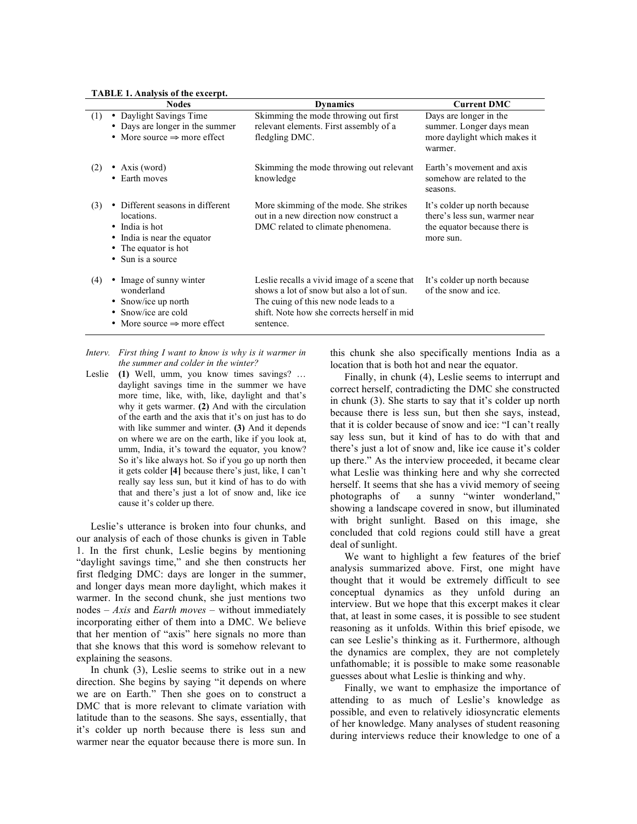| TABLE 1. Analysis of the excerpt. |  |  |  |  |
|-----------------------------------|--|--|--|--|
|-----------------------------------|--|--|--|--|

| <b>Nodes</b>                                                                                                                                      | <b>Dynamics</b>                                                                                                                                                                                 | <b>Current DMC</b>                                                                                         |
|---------------------------------------------------------------------------------------------------------------------------------------------------|-------------------------------------------------------------------------------------------------------------------------------------------------------------------------------------------------|------------------------------------------------------------------------------------------------------------|
| • Daylight Savings Time<br>(1)<br>• Days are longer in the summer<br>• More source $\Rightarrow$ more effect                                      | Skimming the mode throwing out first<br>relevant elements. First assembly of a<br>fledgling DMC.                                                                                                | Days are longer in the<br>summer. Longer days mean<br>more daylight which makes it<br>warmer.              |
| • Axis (word)<br>(2)<br>• Earth moves                                                                                                             | Skimming the mode throwing out relevant<br>knowledge                                                                                                                                            | Earth's movement and axis<br>somehow are related to the<br>seasons.                                        |
| Different seasons in different<br>(3)<br>locations.<br>• India is hot<br>• India is near the equator<br>• The equator is hot<br>• Sun is a source | More skimming of the mode. She strikes<br>out in a new direction now construct a<br>DMC related to climate phenomena.                                                                           | It's colder up north because<br>there's less sun, warmer near<br>the equator because there is<br>more sun. |
| • Image of sunny winter<br>(4)<br>wonderland<br>• Snow/ice up north<br>• Snow/ice are cold<br>More source $\Rightarrow$ more effect               | Leslie recalls a vivid image of a scene that<br>shows a lot of snow but also a lot of sun.<br>The cuing of this new node leads to a<br>shift. Note how she corrects herself in mid<br>sentence. | It's colder up north because<br>of the snow and ice.                                                       |

*Interv. First thing I want to know is why is it warmer in the summer and colder in the winter?*

Leslie **(1)** Well, umm, you know times savings? ... daylight savings time in the summer we have more time, like, with, like, daylight and that's why it gets warmer. **(2)** And with the circulation of the earth and the axis that it's on just has to do with like summer and winter. **(3)** And it depends on where we are on the earth, like if you look at, umm, India, it's toward the equator, you know? So it's like always hot. So if you go up north then it gets colder **[4]** because there's just, like, I can't really say less sun, but it kind of has to do with that and there's just a lot of snow and, like ice cause it's colder up there.

Leslie's utterance is broken into four chunks, and our analysis of each of those chunks is given in Table 1. In the first chunk, Leslie begins by mentioning "daylight savings time," and she then constructs her first fledging DMC: days are longer in the summer, and longer days mean more daylight, which makes it warmer. In the second chunk, she just mentions two nodes – *Axis* and *Earth moves* – without immediately incorporating either of them into a DMC. We believe that her mention of "axis" here signals no more than that she knows that this word is somehow relevant to explaining the seasons.

In chunk (3), Leslie seems to strike out in a new direction. She begins by saying "it depends on where we are on Earth." Then she goes on to construct a DMC that is more relevant to climate variation with latitude than to the seasons. She says, essentially, that it's colder up north because there is less sun and warmer near the equator because there is more sun. In

this chunk she also specifically mentions India as a location that is both hot and near the equator.

Finally, in chunk (4), Leslie seems to interrupt and correct herself, contradicting the DMC she constructed in chunk (3). She starts to say that it's colder up north because there is less sun, but then she says, instead, that it is colder because of snow and ice: "I can't really say less sun, but it kind of has to do with that and there's just a lot of snow and, like ice cause it's colder up there." As the interview proceeded, it became clear what Leslie was thinking here and why she corrected herself. It seems that she has a vivid memory of seeing photographs of a sunny "winter wonderland," showing a landscape covered in snow, but illuminated with bright sunlight. Based on this image, she concluded that cold regions could still have a great deal of sunlight.

We want to highlight a few features of the brief analysis summarized above. First, one might have thought that it would be extremely difficult to see conceptual dynamics as they unfold during an interview. But we hope that this excerpt makes it clear that, at least in some cases, it is possible to see student reasoning as it unfolds. Within this brief episode, we can see Leslie's thinking as it. Furthermore, although the dynamics are complex, they are not completely unfathomable; it is possible to make some reasonable guesses about what Leslie is thinking and why.

Finally, we want to emphasize the importance of attending to as much of Leslie's knowledge as possible, and even to relatively idiosyncratic elements of her knowledge. Many analyses of student reasoning during interviews reduce their knowledge to one of a